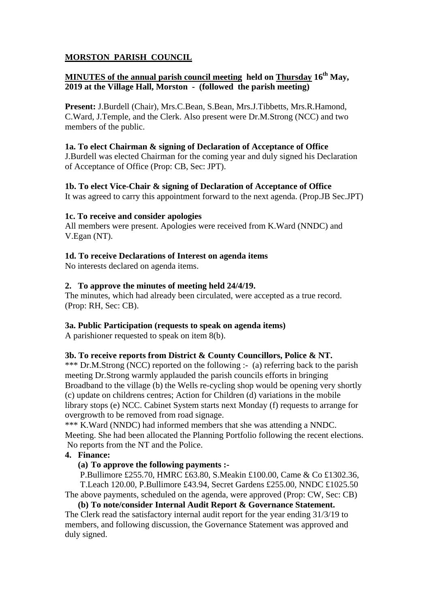# **MORSTON PARISH COUNCIL**

# **MINUTES of the annual parish council meeting held on Thursday 16<sup>th</sup> May, 2019 at the Village Hall, Morston - (followed the parish meeting)**

**Present:** J.Burdell (Chair), Mrs.C.Bean, S.Bean, Mrs.J.Tibbetts, Mrs.R.Hamond, C.Ward, J.Temple, and the Clerk. Also present were Dr.M.Strong (NCC) and two members of the public.

## **1a. To elect Chairman & signing of Declaration of Acceptance of Office**

J.Burdell was elected Chairman for the coming year and duly signed his Declaration of Acceptance of Office (Prop: CB, Sec: JPT).

## **1b. To elect Vice-Chair & signing of Declaration of Acceptance of Office**

It was agreed to carry this appointment forward to the next agenda. (Prop.JB Sec.JPT)

## **1c. To receive and consider apologies**

All members were present. Apologies were received from K.Ward (NNDC) and V.Egan (NT).

## **1d. To receive Declarations of Interest on agenda items**

No interests declared on agenda items.

## **2. To approve the minutes of meeting held 24/4/19.**

The minutes, which had already been circulated, were accepted as a true record. (Prop: RH, Sec: CB).

## **3a. Public Participation (requests to speak on agenda items)**

A parishioner requested to speak on item 8(b).

## **3b. To receive reports from District & County Councillors, Police & NT.**

\*\*\* Dr.M.Strong (NCC) reported on the following :- (a) referring back to the parish meeting Dr.Strong warmly applauded the parish councils efforts in bringing Broadband to the village (b) the Wells re-cycling shop would be opening very shortly (c) update on childrens centres; Action for Children (d) variations in the mobile library stops (e) NCC. Cabinet System starts next Monday (f) requests to arrange for overgrowth to be removed from road signage.

\*\*\* K.Ward (NNDC) had informed members that she was attending a NNDC. Meeting. She had been allocated the Planning Portfolio following the recent elections. No reports from the NT and the Police.

## **4. Finance:**

**(a) To approve the following payments :-** 

P.Bullimore £255.70, HMRC £63.80, S.Meakin £100.00, Came & Co £1302.36, T.Leach 120.00, P.Bullimore £43.94, Secret Gardens £255.00, NNDC £1025.50 The above payments, scheduled on the agenda, were approved (Prop: CW, Sec: CB)

**(b) To note/consider Internal Audit Report & Governance Statement.**  The Clerk read the satisfactory internal audit report for the year ending 31/3/19 to members, and following discussion, the Governance Statement was approved and duly signed.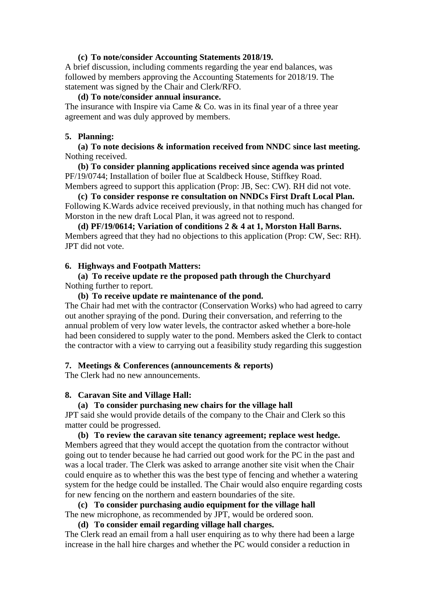#### **(c) To note/consider Accounting Statements 2018/19.**

A brief discussion, including comments regarding the year end balances, was followed by members approving the Accounting Statements for 2018/19. The statement was signed by the Chair and Clerk/RFO.

#### **(d) To note/consider annual insurance.**

The insurance with Inspire via Came & Co. was in its final year of a three year agreement and was duly approved by members.

#### **5. Planning:**

**(a) To note decisions & information received from NNDC since last meeting.**  Nothing received.

**(b) To consider planning applications received since agenda was printed**  PF/19/0744; Installation of boiler flue at Scaldbeck House, Stiffkey Road. Members agreed to support this application (Prop: JB, Sec: CW). RH did not vote.

**(c) To consider response re consultation on NNDCs First Draft Local Plan.**  Following K.Wards advice received previously, in that nothing much has changed for Morston in the new draft Local Plan, it was agreed not to respond.

**(d) PF/19/0614; Variation of conditions 2 & 4 at 1, Morston Hall Barns.**  Members agreed that they had no objections to this application (Prop: CW, Sec: RH). JPT did not vote.

#### **6. Highways and Footpath Matters:**

**(a) To receive update re the proposed path through the Churchyard**  Nothing further to report.

## **(b) To receive update re maintenance of the pond.**

The Chair had met with the contractor (Conservation Works) who had agreed to carry out another spraying of the pond. During their conversation, and referring to the annual problem of very low water levels, the contractor asked whether a bore-hole had been considered to supply water to the pond. Members asked the Clerk to contact the contractor with a view to carrying out a feasibility study regarding this suggestion

#### **7. Meetings & Conferences (announcements & reports)**

The Clerk had no new announcements.

#### **8. Caravan Site and Village Hall:**

#### **(a) To consider purchasing new chairs for the village hall**

JPT said she would provide details of the company to the Chair and Clerk so this matter could be progressed.

**(b) To review the caravan site tenancy agreement; replace west hedge.**  Members agreed that they would accept the quotation from the contractor without going out to tender because he had carried out good work for the PC in the past and was a local trader. The Clerk was asked to arrange another site visit when the Chair could enquire as to whether this was the best type of fencing and whether a watering system for the hedge could be installed. The Chair would also enquire regarding costs for new fencing on the northern and eastern boundaries of the site.

**(c) To consider purchasing audio equipment for the village hall**  The new microphone, as recommended by JPT, would be ordered soon.

#### **(d) To consider email regarding village hall charges.**

The Clerk read an email from a hall user enquiring as to why there had been a large increase in the hall hire charges and whether the PC would consider a reduction in